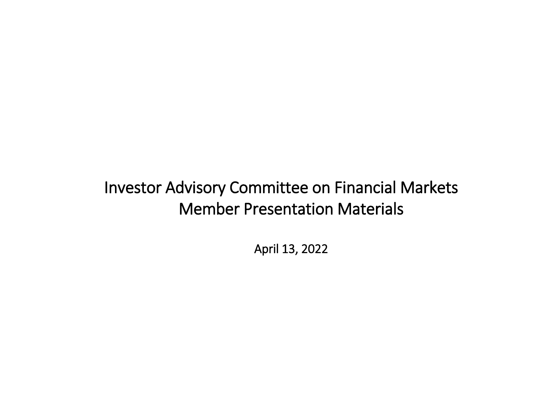## Investor Advisory Committee on Financial Markets Member Presentation Materials

April 13, 2022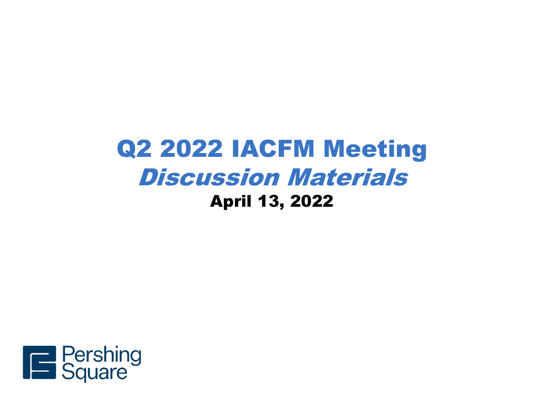# Q2 2022 IACFM Meeting Discussion Materials April 13, 2022

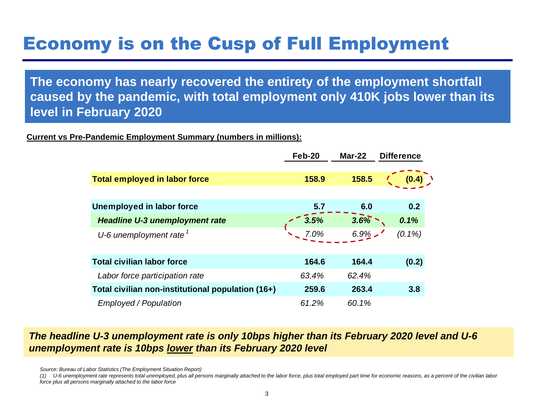# Economy is on the Cusp of Full Employment

**The economy has nearly recovered the entirety of the employment shortfall caused by the pandemic, with total employment only 410K jobs lower than its level in February 2020**

#### **Current vs Pre-Pandemic Employment Summary (numbers in millions):**

|                                                                                                                                                      | Feb-20 | Mar-22  | <b>Difference</b> |  |
|------------------------------------------------------------------------------------------------------------------------------------------------------|--------|---------|-------------------|--|
|                                                                                                                                                      |        |         |                   |  |
| <b>Total employed in labor force</b>                                                                                                                 | 158.9  | 158.5   | (0.4)             |  |
|                                                                                                                                                      |        |         |                   |  |
| <b>Unemployed in labor force</b>                                                                                                                     | 5.7    | 6.0     | 0.2               |  |
| <b>Headline U-3 unemployment rate</b>                                                                                                                | 3.5%   | $3.6\%$ | 0.1%              |  |
| U-6 unemployment rate $1$                                                                                                                            | 7.0%   | $6.9\%$ | $(0.1\%)$         |  |
|                                                                                                                                                      |        |         |                   |  |
| <b>Total civilian labor force</b>                                                                                                                    | 164.6  | 164.4   | (0.2)             |  |
| Labor force participation rate                                                                                                                       | 63.4%  | 62.4%   |                   |  |
| Total civilian non-institutional population (16+)                                                                                                    | 259.6  | 263.4   | 3.8               |  |
| Employed / Population                                                                                                                                | 61.2%  | 60.1%   |                   |  |
|                                                                                                                                                      |        |         |                   |  |
| The headline U-3 unemployment rate is only 10bps higher than its February 2020 leve<br>unemployment rate is 10bps lower than its February 2020 level |        |         |                   |  |

# *The headline U-3 unemployment rate is only 10bps higher than its February 2020 level and U-6*

*Source: Bureau of Labor Statistics (The Employment Situation Report)*

*(1) U-6 unemployment rate represents total unemployed, plus all persons marginally attached to the labor force, plus total employed part time for economic reasons, as a percent of the civilian labor force plus all persons marginally attached to the labor force*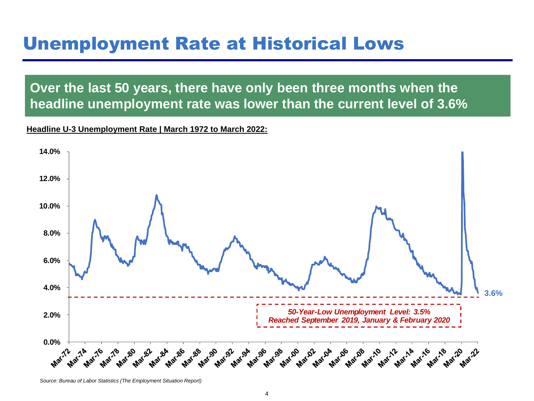## Unemployment Rate at Historical Lows

**Over the last 50 years, there have only been three months when the headline unemployment rate was lower than the current level of 3.6%**

**Headline U-3 Unemployment Rate | March 1972 to March 2022:** 



*Source: Bureau of Labor Statistics (The Employment Situation Report)*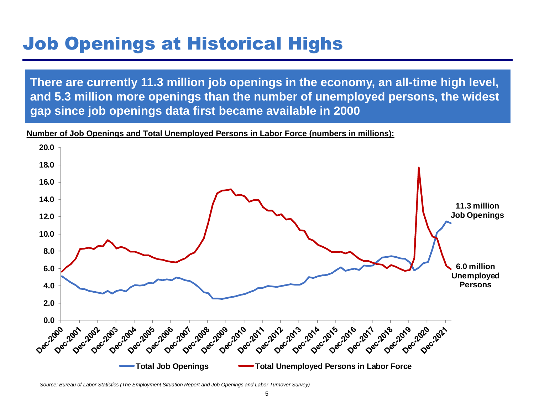# Job Openings at Historical Highs

**There are currently 11.3 million job openings in the economy, an all-time high level, and 5.3 million more openings than the number of unemployed persons, the widest gap since job openings data first became available in 2000**

**Number of Job Openings and Total Unemployed Persons in Labor Force (numbers in millions):** 



*Source: Bureau of Labor Statistics (The Employment Situation Report and Job Openings and Labor Turnover Survey)*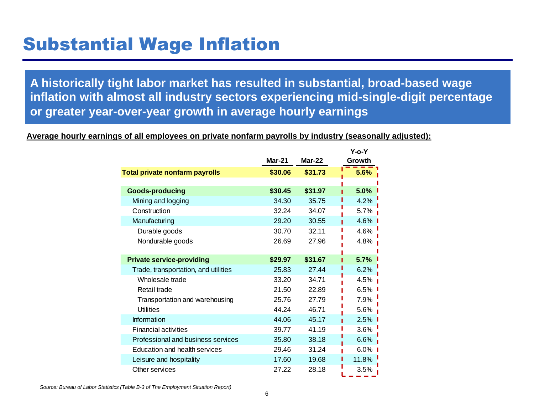## Substantial Wage Inflation

**A historically tight labor market has resulted in substantial, broad-based wage inflation with almost all industry sectors experiencing mid-single-digit percentage or greater year-over-year growth in average hourly earnings** 

#### **Average hourly earnings of all employees on private nonfarm payrolls by industry (seasonally adjusted):**

|                                       |         |          | Y-o-Y   |
|---------------------------------------|---------|----------|---------|
|                                       | Mar-21  | $Mar-22$ | Growth  |
| <b>Total private nonfarm payrolls</b> | \$30.06 | \$31.73  | 5.6%    |
|                                       |         |          |         |
| <b>Goods-producing</b>                | \$30.45 | \$31.97  | 5.0%    |
| Mining and logging                    | 34.30   | 35.75    | 4.2%    |
| Construction                          | 32.24   | 34.07    | 5.7%    |
| Manufacturing                         | 29.20   | 30.55    | 4.6%    |
| Durable goods                         | 30.70   | 32.11    | 4.6%    |
| Nondurable goods                      | 26.69   | 27.96    | 4.8%    |
|                                       |         |          |         |
| <b>Private service-providing</b>      | \$29.97 | \$31.67  | 5.7%    |
| Trade, transportation, and utilities  | 25.83   | 27.44    | 6.2%    |
| Wholesale trade                       | 33.20   | 34.71    | 4.5%    |
| Retail trade                          | 21.50   | 22.89    | 6.5%    |
| Transportation and warehousing        | 25.76   | 27.79    | 7.9%    |
| <b>Utilities</b>                      | 44.24   | 46.71    | 5.6%    |
| Information                           | 44.06   | 45.17    | 2.5%    |
| <b>Financial activities</b>           | 39.77   | 41.19    | 3.6%    |
| Professional and business services    | 35.80   | 38.18    | 6.6%    |
| <b>Education and health services</b>  | 29.46   | 31.24    | $6.0\%$ |
| Leisure and hospitality               | 17.60   | 19.68    | 11.8%   |
| Other services                        | 27.22   | 28.18    | 3.5%    |

*Source: Bureau of Labor Statistics (Table B-3 of The Employment Situation Report)*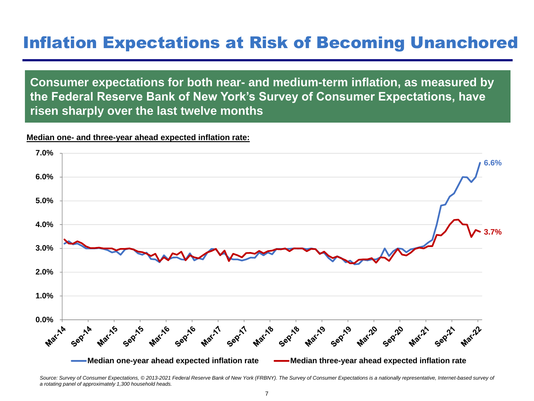### Inflation Expectations at Risk of Becoming Unanchored

**Consumer expectations for both near- and medium-term inflation, as measured by the Federal Reserve Bank of New York's Survey of Consumer Expectations, have risen sharply over the last twelve months**

#### **Median one- and three-year ahead expected inflation rate:**



Source: Survey of Consumer Expectations, © 2013-2021 Federal Reserve Bank of New York (FRBNY). The Survey of Consumer Expectations is a nationally representative, Internet-based survey of *a rotating panel of approximately 1,300 household heads.*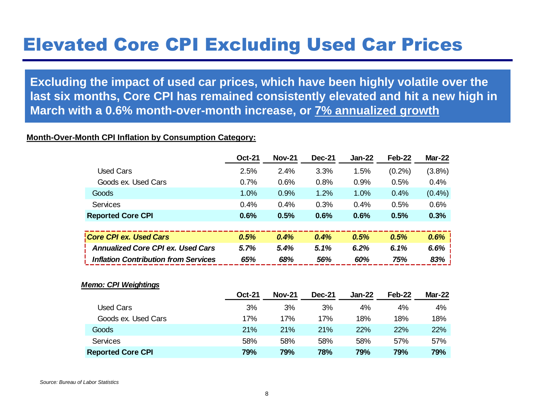## Elevated Core CPI Excluding Used Car Prices

**Excluding the impact of used car prices, which have been highly volatile over the last six months, Core CPI has remained consistently elevated and hit a new high in March with a 0.6% month-over-month increase, or 7% annualized growth**

#### **Month-Over-Month CPI Inflation by Consumption Category:**

|                                             | <b>Oct-21</b> | <b>Nov-21</b> | <b>Dec-21</b> | Jan-22 | Feb-22    | <b>Mar-22</b> |
|---------------------------------------------|---------------|---------------|---------------|--------|-----------|---------------|
| <b>Used Cars</b>                            | 2.5%          | 2.4%          | 3.3%          | 1.5%   | $(0.2\%)$ | (3.8%)        |
| Goods ex. Used Cars                         | 0.7%          | 0.6%          | 0.8%          | 0.9%   | 0.5%      | 0.4%          |
| Goods                                       | 1.0%          | 0.9%          | 1.2%          | 1.0%   | 0.4%      | $(0.4\%)$     |
| <b>Services</b>                             | 0.4%          | 0.4%          | 0.3%          | 0.4%   | 0.5%      | 0.6%          |
| <b>Reported Core CPI</b>                    | 0.6%          | 0.5%          | 0.6%          | 0.6%   | 0.5%      | 0.3%          |
|                                             |               |               |               |        |           |               |
| Core CPI ex. Used Cars                      | 0.5%          | 0.4%          | 0.4%          | 0.5%   | 0.5%      | 0.6%          |
| <b>Annualized Core CPI ex. Used Cars</b>    | 5.7%          | 5.4%          | 5.1%          | 6.2%   | 6.1%      | 6.6%          |
| <b>Inflation Contribution from Services</b> | 65%           | 68%           | 56%           | 60%    | 75%       | 83%           |
|                                             |               |               |               |        |           |               |
| <b>Memo: CPI Weightings</b>                 |               |               |               |        |           |               |
|                                             | <b>Oct-21</b> | <b>Nov-21</b> | <b>Dec-21</b> | Jan-22 | Feb-22    | <b>Mar-22</b> |
| <b>Used Cars</b>                            | 3%            | 3%            | 3%            | 4%     | 4%        | 4%            |
| Goods ex. Used Cars                         | 17%           | 17%           | 17%           | 18%    | 18%       | 18%           |
| Goods                                       | 21%           | 21%           | 21%           | 22%    | 22%       | 22%           |
| <b>Services</b>                             | 58%           | 58%           | 58%           | 58%    | 57%       | 57%           |
| <b>Reported Core CPI</b>                    | 79%           | 79%           | 78%           | 79%    | 79%       | 79%           |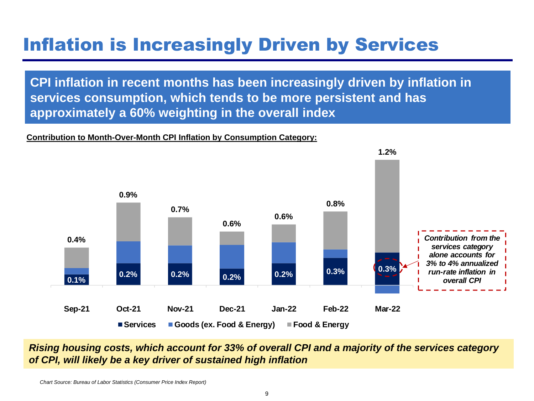# Inflation is Increasingly Driven by Services

**CPI inflation in recent months has been increasingly driven by inflation in services consumption, which tends to be more persistent and has approximately a 60% weighting in the overall index** 

#### **Contribution to Month-Over-Month CPI Inflation by Consumption Category:**



*Rising housing costs, which account for 33% of overall CPI and a majority of the services category of CPI, will likely be a key driver of sustained high inflation*

*Chart Source: Bureau of Labor Statistics (Consumer Price Index Report)*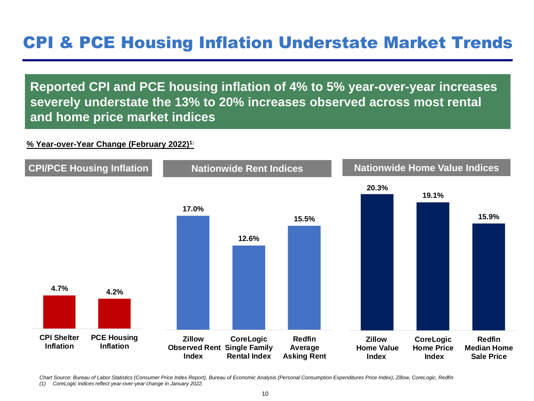### CPI & PCE Housing Inflation Understate Market Trends

**Reported CPI and PCE housing inflation of 4% to 5% year-over-year increases severely understate the 13% to 20% increases observed across most rental and home price market indices**

### **% Year-over-Year Change (February 2022)1:**



*Chart Source: Bureau of Labor Statistics (Consumer Price Index Report), Bureau of Economic Analysis (Personal Consumption Expenditures Price Index), Zillow, CoreLogic, Redfin*

*(1) CoreLogic indices reflect year-over-year change in January 2022.*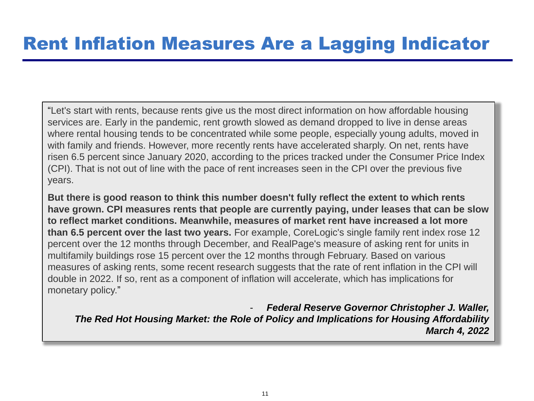"Let's start with rents, because rents give us the most direct information on how affordable housing services are. Early in the pandemic, rent growth slowed as demand dropped to live in dense areas where rental housing tends to be concentrated while some people, especially young adults, moved in with family and friends. However, more recently rents have accelerated sharply. On net, rents have risen 6.5 percent since January 2020, according to the prices tracked under the Consumer Price Index (CPI). That is not out of line with the pace of rent increases seen in the CPI over the previous five years.

**But there is good reason to think this number doesn't fully reflect the extent to which rents have grown. CPI measures rents that people are currently paying, under leases that can be slow to reflect market conditions. Meanwhile, measures of market rent have increased a lot more than 6.5 percent over the last two years.** For example, CoreLogic's single family rent index rose 12 percent over the 12 months through December, and RealPage's measure of asking rent for units in multifamily buildings rose 15 percent over the 12 months through February. Based on various measures of asking rents, some recent research suggests that the rate of rent inflation in the CPI will double in 2022. If so, rent as a component of inflation will accelerate, which has implications for monetary policy."

- *Federal Reserve Governor Christopher J. Waller, The Red Hot Housing Market: the Role of Policy and Implications for Housing Affordability March 4, 2022*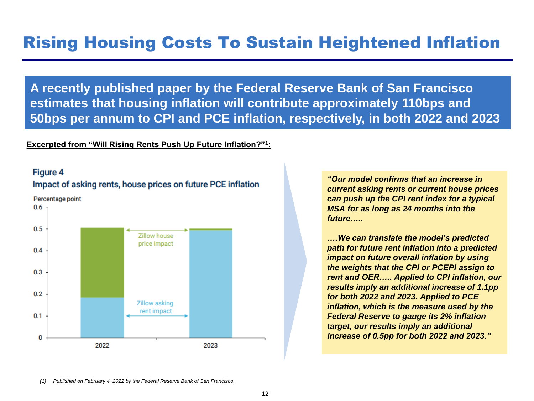**A recently published paper by the Federal Reserve Bank of San Francisco estimates that housing inflation will contribute approximately 110bps and 50bps per annum to CPI and PCE inflation, respectively, in both 2022 and 2023**

#### **Excerpted from "Will Rising Rents Push Up Future Inflation?"<sup>1</sup> :**

### **Figure 4**

#### Impact of asking rents, house prices on future PCE inflation



*"Our model confirms that an increase in current asking rents or current house prices can push up the CPI rent index for a typical MSA for as long as 24 months into the future…..*

*….We can translate the model's predicted path for future rent inflation into a predicted impact on future overall inflation by using the weights that the CPI or PCEPI assign to rent and OER….. Applied to CPI inflation, our results imply an additional increase of 1.1pp for both 2022 and 2023. Applied to PCE inflation, which is the measure used by the Federal Reserve to gauge its 2% inflation target, our results imply an additional increase of 0.5pp for both 2022 and 2023."* 

*(1) Published on February 4, 2022 by the Federal Reserve Bank of San Francisco.*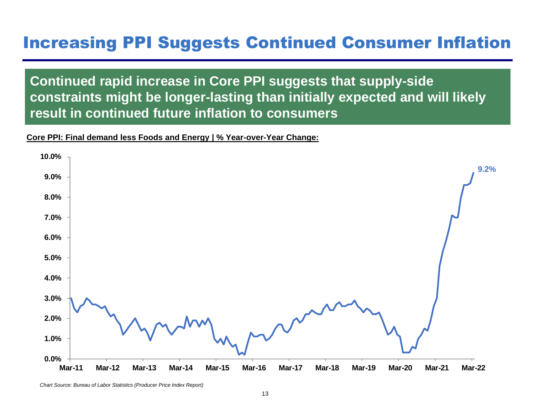### Increasing PPI Suggests Continued Consumer Inflation

**Continued rapid increase in Core PPI suggests that supply-side constraints might be longer-lasting than initially expected and will likely result in continued future inflation to consumers**

### **Core PPI: Final demand less Foods and Energy | % Year-over-Year Change:**



*Chart Source: Bureau of Labor Statistics (Producer Price Index Report)*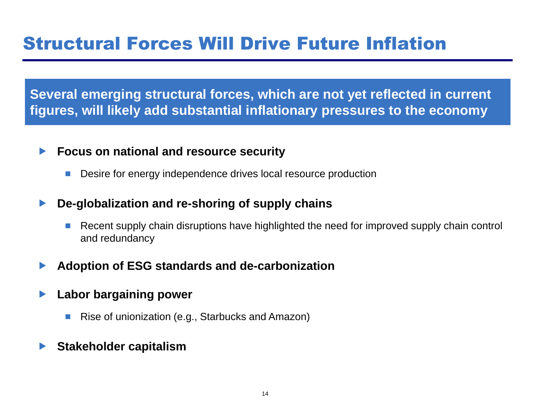**Several emerging structural forces, which are not yet reflected in current figures, will likely add substantial inflationary pressures to the economy** 

### **Focus on national and resource security**

**Desire for energy independence drives local resource production** 

### **De-globalization and re-shoring of supply chains**

- Recent supply chain disruptions have highlighted the need for improved supply chain control and redundancy
- **Adoption of ESG standards and de-carbonization**
- **Labor bargaining power**
	- Rise of unionization (e.g., Starbucks and Amazon)
- **Stakeholder capitalism**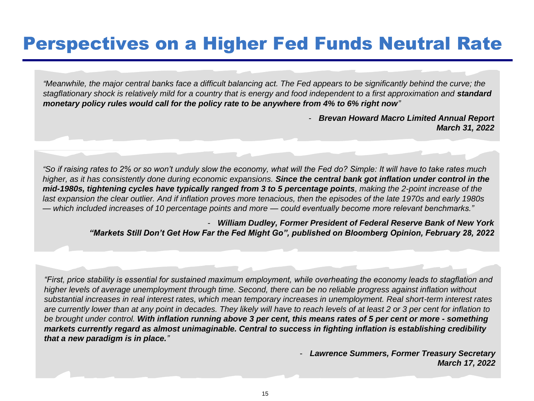## Perspectives on a Higher Fed Funds Neutral Rate

*"Meanwhile, the major central banks face a difficult balancing act. The Fed appears to be significantly behind the curve; the stagflationary shock is relatively mild for a country that is energy and food independent to a first approximation and <i>standard monetary policy rules would call for the policy rate to be anywhere from 4% to 6% right now"*

> - *Brevan Howard Macro Limited Annual Report March 31, 2022*

*"So if raising rates to 2% or so won't unduly slow the economy, what will the Fed do? Simple: It will have to take rates much higher, as it has consistently done during economic expansions. Since the central bank got inflation under control in the mid-1980s, tightening cycles have typically ranged from 3 to 5 percentage points, making the 2-point increase of the last expansion the clear outlier. And if inflation proves more tenacious, then the episodes of the late 1970s and early 1980s — which included increases of 10 percentage points and more — could eventually become more relevant benchmarks."*

> - *William Dudley, Former President of Federal Reserve Bank of New York "Markets Still Don't Get How Far the Fed Might Go", published on Bloomberg Opinion, February 28, 2022*

*"First, price stability is essential for sustained maximum employment, while overheating the economy leads to stagflation and higher levels of average unemployment through time. Second, there can be no reliable progress against inflation without substantial increases in real interest rates, which mean temporary increases in unemployment. Real short-term interest rates are currently lower than at any point in decades. They likely will have to reach levels of at least 2 or 3 per cent for inflation to be brought under control. With inflation running above 3 per cent, this means rates of 5 per cent or more - something markets currently regard as almost unimaginable. Central to success in fighting inflation is establishing credibility that a new paradigm is in place."*

> - *Lawrence Summers, Former Treasury Secretary March 17, 2022*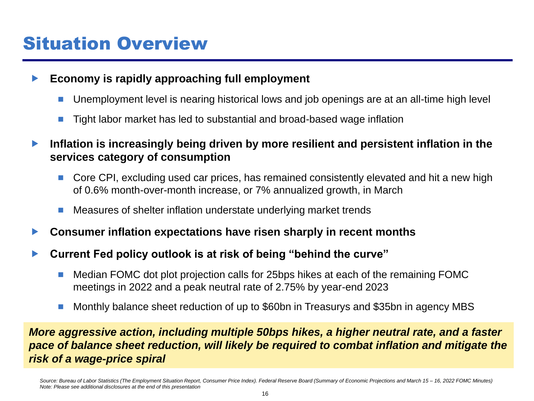## Situation Overview

### **Economy is rapidly approaching full employment**

- Unemployment level is nearing historical lows and job openings are at an all-time high level
- Tight labor market has led to substantial and broad-based wage inflation
- **Inflation is increasingly being driven by more resilient and persistent inflation in the services category of consumption**
	- Core CPI, excluding used car prices, has remained consistently elevated and hit a new high of 0.6% month-over-month increase, or 7% annualized growth, in March
	- Measures of shelter inflation understate underlying market trends
- **Consumer inflation expectations have risen sharply in recent months**
- **Current Fed policy outlook is at risk of being "behind the curve"**
	- Median FOMC dot plot projection calls for 25bps hikes at each of the remaining FOMC meetings in 2022 and a peak neutral rate of 2.75% by year-end 2023
	- Monthly balance sheet reduction of up to \$60bn in Treasurys and \$35bn in agency MBS

### *More aggressive action, including multiple 50bps hikes, a higher neutral rate, and a faster pace of balance sheet reduction, will likely be required to combat inflation and mitigate the risk of a wage-price spiral*

*Source: Bureau of Labor Statistics (The Employment Situation Report, Consumer Price Index). Federal Reserve Board (Summary of Economic Projections and March 15 – 16, 2022 FOMC Minutes) Note: Please see additional disclosures at the end of this presentation*